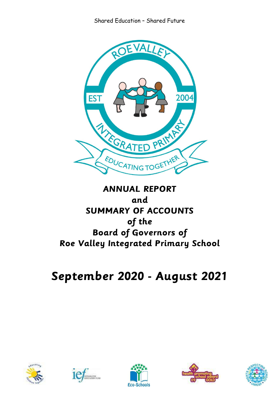

# **ANNUAL REPORT and SUMMARY OF ACCOUNTS of the Board of Governors of Roe Valley Integrated Primary School**

# **September 2020 - August 2021**









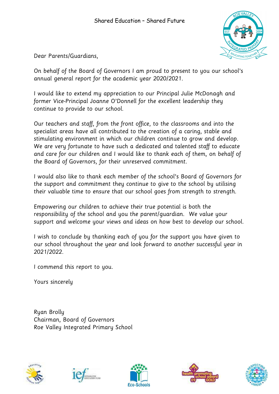

Dear Parents/Guardians,

On behalf of the Board of Governors I am proud to present to you our school's annual general report for the academic year 2020/2021.

I would like to extend my appreciation to our Principal Julie McDonagh and former Vice-Principal Joanne O'Donnell for the excellent leadership they continue to provide to our school.

Our teachers and staff, from the front office, to the classrooms and into the specialist areas have all contributed to the creation of a caring, stable and stimulating environment in which our children continue to grow and develop. We are very fortunate to have such a dedicated and talented staff to educate and care for our children and I would like to thank each of them, on behalf of the Board of Governors, for their unreserved commitment.

I would also like to thank each member of the school's Board of Governors for the support and commitment they continue to give to the school by utilising their valuable time to ensure that our school goes from strength to strength.

Empowering our children to achieve their true potential is both the responsibility of the school and you the parent/guardian. We value your support and welcome your views and ideas on how best to develop our school.

I wish to conclude by thanking each of you for the support you have given to our school throughout the year and look forward to another successful year in 2021/2022.

I commend this report to you.

Yours sincerely

Ryan Brolly Chairman, Board of Governors Roe Valley Integrated Primary School









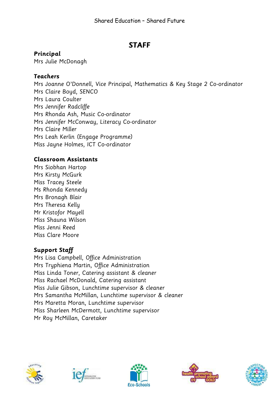# **STAFF**

# **Principal**

Mrs Julie McDonagh

# **Teachers**

Mrs Joanne O'Donnell, Vice Principal, Mathematics & Key Stage 2 Co-ordinator Mrs Claire Boyd, SENCO Mrs Laura Coulter Mrs Jennifer Radcliffe Mrs Rhonda Ash, Music Co-ordinator Mrs Jennifer McConway, Literacy Co-ordinator Mrs Claire Miller Mrs Leah Kerlin (Engage Programme) Miss Jayne Holmes, ICT Co-ordinator

# **Classroom Assistants**

Mrs Siobhan Hartop Mrs Kirsty McGurk Miss Tracey Steele Ms Rhonda Kennedy Mrs Bronagh Blair Mrs Theresa Kelly Mr Kristofor Mayell Miss Shauna Wilson Miss Jenni Reed Miss Clare Moore

# **Support Staff**

Mrs Lisa Campbell, Office Administration Mrs Tryphiena Martin, Office Administration Miss Linda Toner, Catering assistant & cleaner Miss Rachael McDonald, Catering assistant Miss Julie Gibson, Lunchtime supervisor & cleaner Mrs Samantha McMillan, Lunchtime supervisor & cleaner Mrs Maretta Moran, Lunchtime supervisor Miss Sharleen McDermott, Lunchtime supervisor Mr Roy McMillan, Caretaker









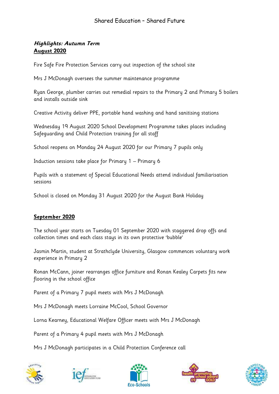#### **Highlights: Autumn Term August 2020**

Fire Safe Fire Protection Services carry out inspection of the school site

Mrs J McDonagh oversees the summer maintenance programme

Ryan George, plumber carries out remedial repairs to the Primary 2 and Primary 5 boilers and installs outside sink

Creative Activity deliver PPE, portable hand washing and hand sanitising stations

Wednesday 19 August 2020 School Development Programme takes places including Safeguarding and Child Protection training for all staff

School reopens on Monday 24 August 2020 for our Primary 7 pupils only

Induction sessions take place for Primary 1 – Primary 6

Pupils with a statement of Special Educational Needs attend individual familiarisation sessions

School is closed on Monday 31 August 2020 for the August Bank Holiday

#### **September 2020**

The school year starts on Tuesday 01 September 2020 with staggered drop offs and collection times and each class stays in its own protective 'bubble'

Jasmin Martin, student at Strathclyde University, Glasgow commences voluntary work experience in Primary 2

Ronan McCann, joiner rearranges office furniture and Ronan Kealey Carpets fits new flooring in the school office

Parent of a Primary 7 pupil meets with Mrs J McDonagh

Mrs J McDonagh meets Lorraine McCool, School Governor

Lorna Kearney, Educational Welfare Officer meets with Mrs J McDonagh

Parent of a Primary 4 pupil meets with Mrs J McDonagh

Mrs J McDonagh participates in a Child Protection Conference call









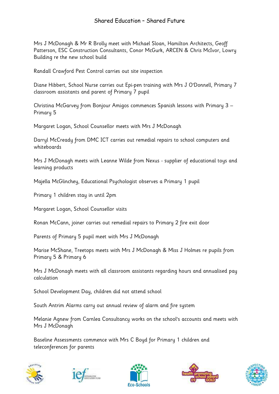Mrs J McDonagh & Mr R Brolly meet with Michael Sloan, Hamilton Architects, Geoff Patterson, ESC Construction Consultants, Conor McGurk, ARCEN & Chris McIvor, Lowry Building re the new school build

Randall Crawford Pest Control carries out site inspection

Diane Hibbert, School Nurse carries out Epi-pen training with Mrs J O'Donnell, Primary 7 classroom assistants and parent of Primary 7 pupil

Christina McGarvey from Bonjour Amigos commences Spanish lessons with Primary 3 – Primary 5

Margaret Logan, School Counsellor meets with Mrs J McDonagh

Darryl McCready from DMC ICT carries out remedial repairs to school computers and whiteboards

Mrs J McDonagh meets with Leanne Wilde from Nexus - supplier of educational toys and learning products

Majella McGlinchey, Educational Psychologist observes a Primary 1 pupil

Primary 1 children stay in until 2pm

Margaret Logan, School Counsellor visits

Ronan McCann, joiner carries out remedial repairs to Primary 2 fire exit door

Parents of Primary 5 pupil meet with Mrs J McDonagh

Marise McShane, Treetops meets with Mrs J McDonagh & Miss J Holmes re pupils from Primary 5 & Primary 6

Mrs J McDonagh meets with all classroom assistants regarding hours and annualised pay calculation

School Development Day, children did not attend school

South Antrim Alarms carry out annual review of alarm and fire system

Melanie Agnew from Carnlea Consultancy works on the school's accounts and meets with Mrs J McDonagh

Baseline Assessments commence with Mrs C Boyd for Primary 1 children and teleconferences for parents









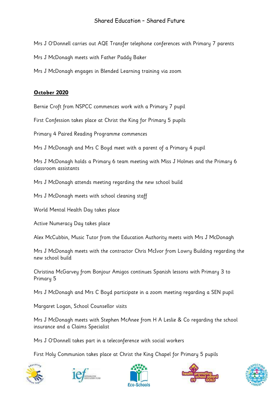Mrs J O'Donnell carries out AQE Transfer telephone conferences with Primary 7 parents

Mrs J McDonagh meets with Father Paddy Baker

Mrs J McDonagh engages in Blended Learning training via zoom

#### **October 2020**

Bernie Croft from NSPCC commences work with a Primary 7 pupil

First Confession takes place at Christ the King for Primary 5 pupils

Primary 4 Paired Reading Programme commences

Mrs J McDonagh and Mrs C Boyd meet with a parent of a Primary 4 pupil

Mrs J McDonagh holds a Primary 6 team meeting with Miss J Holmes and the Primary 6 classroom assistants

Mrs J McDonagh attends meeting regarding the new school build

Mrs J McDonagh meets with school cleaning staff

World Mental Health Day takes place

Active Numeracy Day takes place

Alex McCubbin, Music Tutor from the Education Authority meets with Mrs J McDonagh

Mrs J McDonagh meets with the contractor Chris McIvor from Lowry Building regarding the new school build

Christina McGarvey from Bonjour Amigos continues Spanish lessons with Primary 3 to Primary 5

Mrs J McDonagh and Mrs C Boyd participate in a zoom meeting regarding a SEN pupil

Margaret Logan, School Counsellor visits

Mrs J McDonagh meets with Stephen McAnee from H A Leslie & Co regarding the school insurance and a Claims Specialist

Mrs J O'Donnell takes part in a teleconference with social workers

First Holy Communion takes place at Christ the King Chapel for Primary 5 pupils









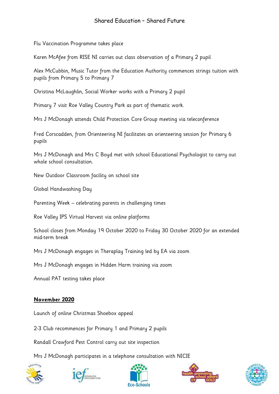Flu Vaccination Programme takes place

Karen McAfee from RISE NI carries out class observation of a Primary 2 pupil

Alex McCubbin, Music Tutor from the Education Authority commences strings tuition with pupils from Primary 5 to Primary 7

Christina McLaughlin, Social Worker works with a Primary 2 pupil

Primary 7 visit Roe Valley Country Park as part of thematic work.

Mrs J McDonagh attends Child Protection Core Group meeting via teleconference

Fred Corscadden, from Orienteering NI facilitates an orienteering session for Primary 6 pupils

Mrs J McDonagh and Mrs C Boyd met with school Educational Psychologist to carry out whole school consultation.

New Outdoor Classroom facility on school site

Global Handwashing Day

Parenting Week – celebrating parents in challenging times

Roe Valley IPS Virtual Harvest via online platforms

School closes from Monday 19 October 2020 to Friday 30 October 2020 for an extended mid-term break

Mrs J McDonagh engages in Theraplay Training led by EA via zoom

Mrs J McDonagh engages in Hidden Harm training via zoom

Annual PAT testing takes place

#### **November 2020**

Launch of online Christmas Shoebox appeal

2-3 Club recommences for Primary 1 and Primary 2 pupils

Randall Crawford Pest Control carry out site inspection

Mrs J McDonagh participates in a telephone consultation with NICIE









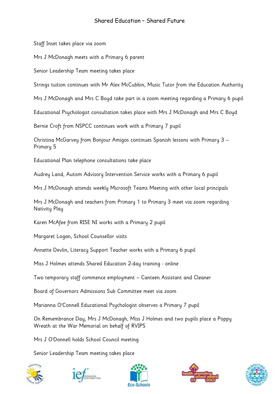Staff Inset takes place via zoom

Mrs J McDonagh meets with a Primary 6 parent

Senior Leadership Team meeting takes place

Strings tuition continues with Mr Alex McCubbin, Music Tutor from the Education Authority

Mrs J McDonagh and Mrs C Boyd take part in a zoom meeting regarding a Primary 6 pupil

Educational Psychologist consultation takes place with Mrs J McDonagh and Mrs C Boyd

Bernie Croft from NSPCC continues work with a Primary 7 pupil

Christina McGarvey from Bonjour Amigos continues Spanish lessons with Primary 3 – Primary 5

Educational Plan telephone consultations take place

Audrey Land, Autism Advisory Intervention Service works with a Primary 6 pupil

Mrs J McDonagh attends weekly Microsoft Teams Meeting with other local principals

Mrs J McDonagh and teachers from Primary 1 to Primary 3 meet via zoom regarding Nativity Play

Karen McAfee from RISE NI works with a Primary 2 pupil

Margaret Logan, School Counsellor visits

Annette Devlin, Literacy Support Teacher works with a Primary 6 pupil

Miss J Holmes attends Shared Education 2-day training - online

Two temporary staff commence employment – Canteen Assistant and Cleaner

Board of Governors Admissions Sub Committee meet via zoom

Marianna O'Connell Educational Psychologist observes a Primary 7 pupil

On Remembrance Day, Mrs J McDonagh, Miss J Holmes and two pupils place a Poppy Wreath at the War Memorial on behalf of RVIPS

Mrs J O'Donnell holds School Council meeting

Senior Leadership Team meeting takes place









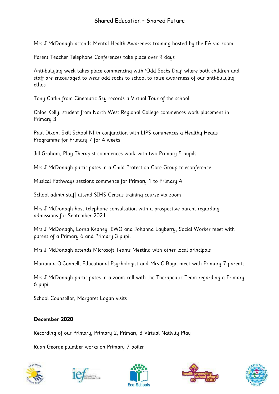Mrs J McDonagh attends Mental Health Awareness training hosted by the EA via zoom

Parent Teacher Telephone Conferences take place over 9 days

Anti-bullying week takes place commencing with 'Odd Socks Day' where both children and staff are encouraged to wear odd socks to school to raise awareness of our anti-bullying ethos

Tony Carlin from Cinematic Sky records a Virtual Tour of the school

Chloe Kelly, student from North West Regional College commences work placement in Primary 3

Paul Dixon, Skill School NI in conjunction with LIPS commences a Healthy Heads Programme for Primary 7 for 4 weeks

Jill Graham, Play Therapist commences work with two Primary 5 pupils

Mrs J McDonagh participates in a Child Protection Core Group teleconference

Musical Pathways sessions commence for Primary 1 to Primary 4

School admin staff attend SIMS Census training course via zoom

Mrs J McDonagh host telephone consultation with a prospective parent regarding admissions for September 2021

Mrs J McDonagh, Lorna Keaney, EWO and Johanna Layberry, Social Worker meet with parent of a Primary 6 and Primary 3 pupil

Mrs J McDonagh attends Microsoft Teams Meeting with other local principals

Marianna O'Connell, Educational Psychologist and Mrs C Boyd meet with Primary 7 parents

Mrs J McDonagh participates in a zoom call with the Therapeutic Team regarding a Primary 6 pupil

School Counsellor, Margaret Logan visits

# **December 2020**

Recording of our Primary, Primary 2, Primary 3 Virtual Nativity Play

Ryan George plumber works on Primary 7 boiler









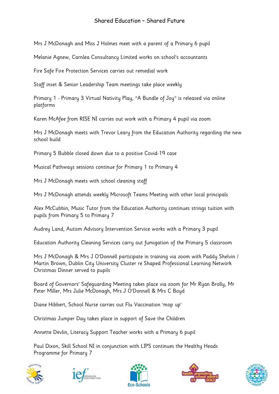Mrs J McDonagh and Miss J Holmes meet with a parent of a Primary 6 pupil

Melanie Agnew, Carnlea Consultancy Limited works on school's accountants

Fire Safe Fire Protection Services carries out remedial work

Staff inset & Senior Leadership Team meetings take place weekly

Primary 1 - Primary 3 Virtual Nativity Play, "A Bundle of Joy" is released via online platforms

Karen McAfee from RISE NI carries out work with a Primary 4 pupil via zoom

Mrs J McDonagh meets with Trevor Leary from the Education Authority regarding the new school build

Primary 5 Bubble closed down due to a positive Covid-19 case

Musical Pathways sessions continue for Primary 1 to Primary 4

Mrs J McDonagh meets with school cleaning staff

Mrs J McDonagh attends weekly Microsoft Teams Meeting with other local principals

Alex McCubbin, Music Tutor from the Education Authority continues strings tuition with pupils from Primary 5 to Primary 7

Audrey Land, Autism Advisory Intervention Service works with a Primary 3 pupil

Education Authority Cleaning Services carry out fumigation of the Primary 5 classroom

Mrs J McDonagh & Mrs J O'Donnell participate in training via zoom with Paddy Shelvin / Martin Brown, Dublin City University Cluster re Shaped Professional Learning Network Christmas Dinner served to pupils

Board of Governors' Safeguarding Meeting takes place via zoom for Mr Ryan Brolly, Mr Peter Miller, Mrs Julie McDonagh, Mrs J O'Donnell & Mrs C Boyd

Diane Hibbert, School Nurse carries out Flu Vaccination 'mop up'

Christmas Jumper Day takes place in support of Save the Children

Annette Devlin, Literacy Support Teacher works with a Primary 6 pupil

Paul Dixon, Skill School NI in conjunction with LIPS continues the Healthy Heads Programme for Primary 7









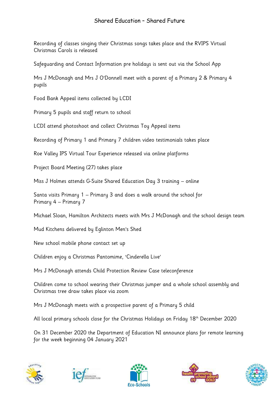Recording of classes singing their Christmas songs takes place and the RVIPS Virtual Christmas Carols is released

Safeguarding and Contact Information pre holidays is sent out via the School App

Mrs J McDonagh and Mrs J O'Donnell meet with a parent of a Primary 2 & Primary 4 pupils

Food Bank Appeal items collected by LCDI

Primary 5 pupils and staff return to school

LCDI attend photoshoot and collect Christmas Toy Appeal items

Recording of Primary 1 and Primary 7 children video testimonials takes place

Roe Valley IPS Virtual Tour Experience released via online platforms

Project Board Meeting (27) takes place

Miss J Holmes attends G-Suite Shared Education Day 3 training – online

Santa visits Primary 1 – Primary 3 and does a walk around the school for Primary 4 – Primary 7

Michael Sloan, Hamilton Architects meets with Mrs J McDonagh and the school design team

Mud Kitchens delivered by Eglinton Men's Shed

New school mobile phone contact set up

Children enjoy a Christmas Pantomime, 'Cinderella Live'

Mrs J McDonagh attends Child Protection Review Case teleconference

Children come to school wearing their Christmas jumper and a whole school assembly and Christmas tree draw takes place via zoom

Mrs J McDonagh meets with a prospective parent of a Primary 5 child

All local primary schools close for the Christmas Holidays on Friday 18<sup>th</sup> December 2020

On 31 December 2020 the Department of Education NI announce plans for remote learning for the week beginning 04 January 2021









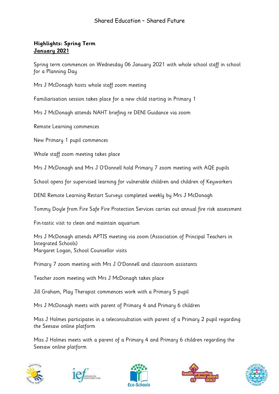#### **Highlights: Spring Term January 2021**

Spring term commences on Wednesday 06 January 2021 with whole school staff in school for a Planning Day

Mrs J McDonagh hosts whole staff zoom meeting

Familiarisation session takes place for a new child starting in Primary 1

Mrs J McDonagh attends NAHT briefing re DENI Guidance via zoom

Remote Learning commences

New Primary 1 pupil commences

Whole staff zoom meeting takes place

Mrs J McDonagh and Mrs J O'Donnell hold Primary 7 zoom meeting with AQE pupils

School opens for supervised learning for vulnerable children and children of Keyworkers

DENI Remote Learning Restart Surveys completed weekly by Mrs J McDonagh

Tommy Doyle from Fire Safe Fire Protection Services carries out annual fire risk assessment

Fin-tastic visit to clean and maintain aquarium

Mrs J McDonagh attends APTIS meeting via zoom (Association of Principal Teachers in Integrated Schools) Margaret Logan, School Counsellor visits

Primary 7 zoom meeting with Mrs J O'Donnell and classroom assistants

Teacher zoom meeting with Mrs J McDonagh takes place

Jill Graham, Play Therapist commences work with a Primary 5 pupil

Mrs J McDonagh meets with parent of Primary 4 and Primary 6 children

Miss J Holmes participates in a teleconsultation with parent of a Primary 2 pupil regarding the Seesaw online platform

Miss J Holmes meets with a parent of a Primary 4 and Primary 6 children regarding the Seesaw online platform









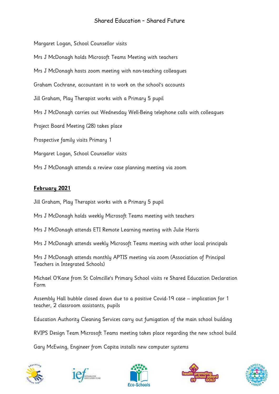Margaret Logan, School Counsellor visits Mrs J McDonagh holds Microsoft Teams Meeting with teachers Mrs J McDonagh hosts zoom meeting with non-teaching colleagues Graham Cochrane, accountant in to work on the school's accounts Jill Graham, Play Therapist works with a Primary 5 pupil Mrs J McDonagh carries out Wednesday Well-Being telephone calls with colleagues Project Board Meeting (28) takes place Prospective family visits Primary 1 Margaret Logan, School Counsellor visits Mrs J McDonagh attends a review case planning meeting via zoom

#### **February 2021**

Jill Graham, Play Therapist works with a Primary 5 pupil

Mrs J McDonagh holds weekly Microsoft Teams meeting with teachers

Mrs J McDonagh attends ETI Remote Learning meeting with Julie Harris

Mrs J McDonagh attends weekly Microsoft Teams meeting with other local principals

Mrs J McDonagh attends monthly APTIS meeting via zoom (Association of Principal Teachers in Integrated Schools)

Michael O'Kane from St Colmcille's Primary School visits re Shared Education Declaration Form

Assembly Hall bubble closed down due to a positive Covid-19 case – implication for 1 teacher, 2 classroom assistants, pupils

Education Authority Cleaning Services carry out fumigation of the main school building

RVIPS Design Team Microsoft Teams meeting takes place regarding the new school build

Gary McEwing, Engineer from Capita installs new computer systems









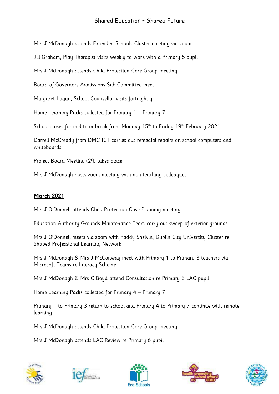Mrs J McDonagh attends Extended Schools Cluster meeting via zoom

Jill Graham, Play Therapist visits weekly to work with a Primary 5 pupil

Mrs J McDonagh attends Child Protection Core Group meeting

Board of Governors Admissions Sub-Committee meet

Margaret Logan, School Counsellor visits fortnightly

Home Learning Packs collected for Primary 1 – Primary 7

School closes for mid-term break from Monday 15<sup>th</sup> to Friday 19<sup>th</sup> February 2021

Darrell McCready from DMC ICT carries out remedial repairs on school computers and whiteboards

Project Board Meeting (29) takes place

Mrs J McDonagh hosts zoom meeting with non-teaching colleagues

#### **March 2021**

Mrs J O'Donnell attends Child Protection Case Planning meeting

Education Authority Grounds Maintenance Team carry out sweep of exterior grounds

Mrs J O'Donnell meets via zoom with Paddy Shelvin, Dublin City University Cluster re Shaped Professional Learning Network

Mrs J McDonagh & Mrs J McConway meet with Primary 1 to Primary 3 teachers via Microsoft Teams re Literacy Scheme

Mrs J McDonagh & Mrs C Boyd attend Consultation re Primary 6 LAC pupil

Home Learning Packs collected for Primary 4 – Primary 7

Primary 1 to Primary 3 return to school and Primary 4 to Primary 7 continue with remote learning

Mrs J McDonagh attends Child Protection Core Group meeting

Mrs J McDonagh attends LAC Review re Primary 6 pupil









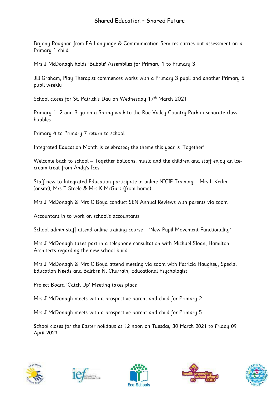Bryony Roughan from EA Language & Communication Services carries out assessment on a Primary 1 child

Mrs J McDonagh holds 'Bubble' Assemblies for Primary 1 to Primary 3

Jill Graham, Play Therapist commences works with a Primary 3 pupil and another Primary 5 pupil weekly

School closes for St. Patrick's Day on Wednesday 17th March 2021

Primary 1, 2 and 3 go on a Spring walk to the Roe Valley Country Park in separate class bubbles

Primary 4 to Primary 7 return to school

Integrated Education Month is celebrated; the theme this year is 'Together'

Welcome back to school – Together balloons, music and the children and staff enjoy an icecream treat from Andy's Ices

Staff new to Integrated Education participate in online NICIE Training – Mrs L Kerlin (onsite), Mrs T Steele & Mrs K McGurk (from home)

Mrs J McDonagh & Mrs C Boyd conduct SEN Annual Reviews with parents via zoom

Accountant in to work on school's accountants

School admin staff attend online training course – 'New Pupil Movement Functionality'

Mrs J McDonagh takes part in a telephone consultation with Michael Sloan, Hamilton Architects regarding the new school build

Mrs J McDonagh & Mrs C Boyd attend meeting via zoom with Patricia Haughey, Special Education Needs and Bairbre Ni Churrain, Educational Psychologist

Project Board 'Catch Up' Meeting takes place

Mrs J McDonagh meets with a prospective parent and child for Primary 2

Mrs J McDonagh meets with a prospective parent and child for Primary 5

School closes for the Easter holidays at 12 noon on Tuesday 30 March 2021 to Friday 09 April 2021









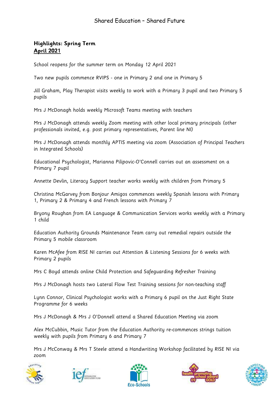#### **Highlights: Spring Term April 2021**

School reopens for the summer term on Monday 12 April 2021

Two new pupils commence RVIPS - one in Primary 2 and one in Primary 5

Jill Graham, Play Therapist visits weekly to work with a Primary 3 pupil and two Primary 5 pupils

Mrs J McDonagh holds weekly Microsoft Teams meeting with teachers

Mrs J McDonagh attends weekly Zoom meeting with other local primary principals (other professionals invited, e.g. post primary representatives, Parent line NI)

Mrs J McDonagh attends monthly APTIS meeting via zoom (Association of Principal Teachers in Integrated Schools)

Educational Psychologist, Marianna Pilipovic-O'Connell carries out an assessment on a Primary 7 pupil

Annette Devlin, Literacy Support teacher works weekly with children from Primary 5

Christina McGarvey from Bonjour Amigos commences weekly Spanish lessons with Primary 1, Primary 2 & Primary 4 and French lessons with Primary 7

Bryony Roughan from EA Language & Communication Services works weekly with a Primary 1 child

Education Authority Grounds Maintenance Team carry out remedial repairs outside the Primary 5 mobile classroom

Karen McAfee from RISE NI carries out Attention & Listening Sessions for 6 weeks with Primary 2 pupils

Mrs C Boyd attends online Child Protection and Safeguarding Refresher Training

Mrs J McDonagh hosts two Lateral Flow Test Training sessions for non-teaching staff

Lynn Connor, Clinical Psychologist works with a Primary 6 pupil on the Just Right State Programme for 6 weeks

Mrs J McDonagh & Mrs J O'Donnell attend a Shared Education Meeting via zoom

Alex McCubbin, Music Tutor from the Education Authority re-commences strings tuition weekly with pupils from Primary 6 and Primary 7

Mrs J McConway & Mrs T Steele attend a Handwriting Workshop facilitated by RISE NI via zoom









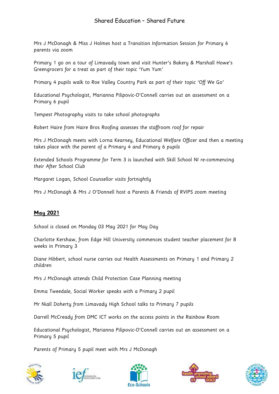Mrs J McDonagh & Miss J Holmes host a Transition Information Session for Primary 6 parents via zoom

Primary 1 go on a tour of Limavady town and visit Hunter's Bakery & Marshall Howe's Greengrocers for a treat as part of their topic 'Yum Yum'

Primary 4 pupils walk to Roe Valley Country Park as part of their topic 'Off We Go'

Educational Psychologist, Marianna Pilipovic-O'Connell carries out an assessment on a Primary 6 pupil

Tempest Photography visits to take school photographs

Robert Haire from Haire Bros Roofing assesses the staffroom roof for repair

Mrs J McDonagh meets with Lorna Kearney, Educational Welfare Officer and then a meeting takes place with the parent of a Primary 4 and Primary 6 pupils

Extended Schools Programme for Term 3 is launched with Skill School NI re-commencing their After School Club

Margaret Logan, School Counsellor visits fortnightly

Mrs J McDonagh & Mrs J O'Donnell host a Parents & Friends of RVIPS zoom meeting

#### **May 2021**

School is closed on Monday 03 May 2021 for May Day

Charlotte Kershaw, from Edge Hill University commences student teacher placement for 8 weeks in Primary 3

Diane Hibbert, school nurse carries out Health Assessments on Primary 1 and Primary 2 children

Mrs J McDonagh attends Child Protection Case Planning meeting

Emma Tweedale, Social Worker speaks with a Primary 2 pupil

Mr Niall Doherty from Limavady High School talks to Primary 7 pupils

Darrell McCready from DMC ICT works on the access points in the Rainbow Room

Educational Psychologist, Marianna Pilipovic-O'Connell carries out an assessment on a Primary 5 pupil

Parents of Primary 5 pupil meet with Mrs J McDonagh









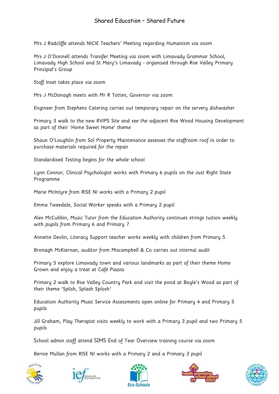Mrs J Radcliffe attends NICIE Teachers' Meeting regarding Humanism via zoom

Mrs J O'Donnell attends Transfer Meeting via zoom with Limavady Grammar School, Limavady High School and St Mary's Limavady - organised through Roe Valley Primary Principal's Group

Staff Inset takes place via zoom

Mrs J McDonagh meets with Mr R Totten, Governor via zoom

Engineer from Stephens Catering carries out temporary repair on the servery dishwasher

Primary 3 walk to the new RVIPS Site and see the adjacent Roe Wood Housing Development as part of their 'Home Sweet Home' theme

Shaun O'Loughlin from Sol Property Maintenance assesses the staffroom roof in order to purchase materials required for the repair

Standardised Testing begins for the whole school

Lynn Connor, Clinical Psychologist works with Primary 6 pupils on the Just Right State Programme

Marie McIntyre from RISE NI works with a Primary 2 pupil

Emma Tweedale, Social Worker speaks with a Primary 2 pupil

Alex McCubbin, Music Tutor from the Education Authority continues strings tuition weekly with pupils from Primary 6 and Primary 7

Annette Devlin, Literacy Support teacher works weekly with children from Primary 5

Bronagh McKiernan, auditor from Miscampbell & Co carries out internal audit

Primary 5 explore Limavady town and various landmarks as part of their theme Home Grown and enjoy a treat at Café Piazza

Primary 2 walk to Roe Valley Country Park and visit the pond at Boyle's Wood as part of their theme 'Splish, Splash Splosh'

Education Authority Music Service Assessments open online for Primary 4 and Primary 5 pupils

Jill Graham, Play Therapist visits weekly to work with a Primary 3 pupil and two Primary 5 pupils

School admin staff attend SIMS End of Year Overview training course via zoom

Bernie Mullan from RISE NI works with a Primary 2 and a Primary 3 pupil









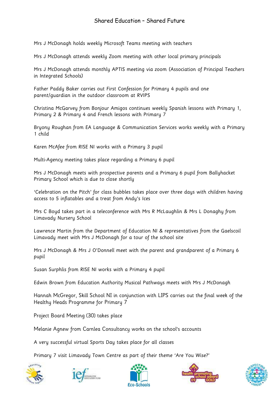Mrs J McDonagh holds weekly Microsoft Teams meeting with teachers

Mrs J McDonagh attends weekly Zoom meeting with other local primary principals

Mrs J McDonagh attends monthly APTIS meeting via zoom (Association of Principal Teachers in Integrated Schools)

Father Paddy Baker carries out First Confession for Primary 4 pupils and one parent/guardian in the outdoor classroom at RVIPS

Christina McGarvey from Bonjour Amigos continues weekly Spanish lessons with Primary 1, Primary 2 & Primary 4 and French lessons with Primary 7

Bryony Roughan from EA Language & Communication Services works weekly with a Primary 1 child

Karen McAfee from RISE NI works with a Primary 3 pupil

Multi-Agency meeting takes place regarding a Primary 6 pupil

Mrs J McDonagh meets with prospective parents and a Primary 6 pupil from Ballyhacket Primary School which is due to close shortly

'Celebration on the Pitch' for class bubbles takes place over three days with children having access to 5 inflatables and a treat from Andy's Ices

Mrs C Boyd takes part in a teleconference with Mrs R McLaughlin & Mrs L Donaghy from Limavady Nursery School

Lawrence Martin from the Department of Education NI & representatives from the Gaelscoil Limavady meet with Mrs J McDonagh for a tour of the school site

Mrs J McDonagh & Mrs J O'Donnell meet with the parent and grandparent of a Primary 6 pupil

Susan Surphlis from RISE NI works with a Primary 4 pupil

Edwin Brown from Education Authority Musical Pathways meets with Mrs J McDonagh

Hannah McGregor, Skill School NI in conjunction with LIPS carries out the final week of the Healthy Heads Programme for Primary 7

Project Board Meeting (30) takes place

Melanie Agnew from Carnlea Consultancy works on the school's accounts

A very successful virtual Sports Day takes place for all classes

Primary 7 visit Limavady Town Centre as part of their theme 'Are You Wise?'









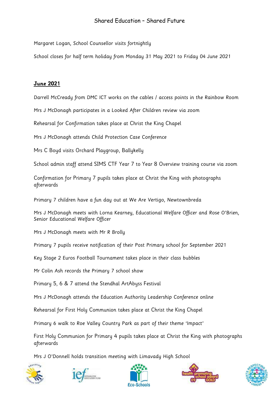Margaret Logan, School Counsellor visits fortnightly

School closes for half term holiday from Monday 31 May 2021 to Friday 04 June 2021

#### **June 2021**

Darrell McCready from DMC ICT works on the cables / access points in the Rainbow Room

Mrs J McDonagh participates in a Looked After Children review via zoom

Rehearsal for Confirmation takes place at Christ the King Chapel

Mrs J McDonagh attends Child Protection Case Conference

Mrs C Boyd visits Orchard Playgroup, Ballykelly

School admin staff attend SIMS CTF Year 7 to Year 8 Overview training course via zoom

Confirmation for Primary 7 pupils takes place at Christ the King with photographs afterwards

Primary 7 children have a fun day out at We Are Vertigo, Newtownbreda

Mrs J McDonagh meets with Lorna Kearney, Educational Welfare Officer and Rose O'Brien, Senior Educational Welfare Officer

Mrs J McDonagh meets with Mr R Brolly

Primary 7 pupils receive notification of their Post Primary school for September 2021

Key Stage 2 Euros Football Tournament takes place in their class bubbles

Mr Colin Ash records the Primary 7 school show

Primary 5, 6 & 7 attend the Stendhal ArtAbyss Festival

Mrs J McDonagh attends the Education Authority Leadership Conference online

Rehearsal for First Holy Communion takes place at Christ the King Chapel

Primary 6 walk to Roe Valley Country Park as part of their theme 'Impact'

First Holy Communion for Primary 4 pupils takes place at Christ the King with photographs afterwards

Mrs J O'Donnell holds transition meeting with Limavady High School









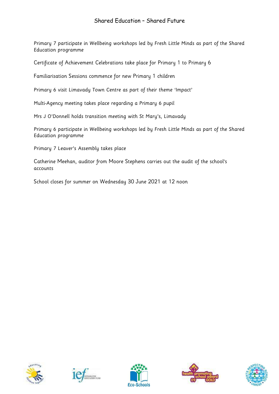Primary 7 participate in Wellbeing workshops led by Fresh Little Minds as part of the Shared Education programme

Certificate of Achievement Celebrations take place for Primary 1 to Primary 6

Familiarisation Sessions commence for new Primary 1 children

Primary 6 visit Limavady Town Centre as part of their theme 'Impact'

Multi-Agency meeting takes place regarding a Primary 6 pupil

Mrs J O'Donnell holds transition meeting with St Mary's, Limavady

Primary 6 participate in Wellbeing workshops led by Fresh Little Minds as part of the Shared Education programme

Primary 7 Leaver's Assembly takes place

Catherine Meehan, auditor from Moore Stephens carries out the audit of the school's accounts

School closes for summer on Wednesday 30 June 2021 at 12 noon









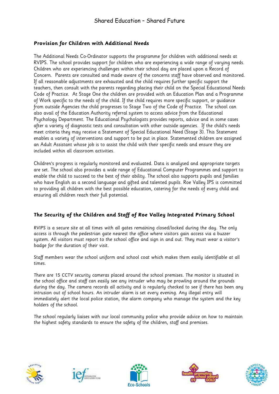#### **Provision for Children with Additional Needs**

The Additional Needs Co-Ordinator supports the programme for children with additional needs at RVIPS. The school provides support for children who are experiencing a wide range of varying needs. Children who are experiencing challenges within their school day are placed upon a Record of Concern. Parents are consulted and made aware of the concerns staff have observed and monitored. If all reasonable adjustments are exhausted and the child requires further specific support the teachers, then consult with the parents regarding placing their child on the Special Educational Needs Code of Practice. At Stage One the children are provided with an Education Plan and a Programme of Work specific to the needs of the child. If the child requires more specific support, or guidance from outside Agencies the child progresses to Stage Two of the Code of Practice. The school can also avail of the Education Authority referral system to access advice from the Educational Psychology Department. The Educational Psychologists provides reports, advice and in some cases after a variety of diagnostic tests and consultation with other outside agencies. If the child's needs meet criteria they may receive a Statement of Special Educational Need (Stage 3). This Statement enables a variety of interventions and support to be put in place. Statemented children are assigned an Adult Assistant whose job is to assist the child with their specific needs and ensure they are included within all classroom activities.

Children's progress is regularly monitored and evaluated. Data is analysed and appropriate targets are set. The school also provides a wide range of Educational Computer Programmes and support to enable the child to succeed to the best of their ability. The school also supports pupils and families who have English as a second language and gifted and talented pupils. Roe Valley IPS is committed to providing all children with the best possible education, catering for the needs of every child and ensuring all children reach their full potential.

#### **The Security of the Children and Staff of Roe Valley Integrated Primary School**

RVIPS is a secure site at all times with all gates remaining closed/locked during the day. The only access is through the pedestrian gate nearest the office where visitors gain access via a buzzer system. All visitors must report to the school office and sign in and out. They must wear a visitor's badge for the duration of their visit.

Staff members wear the school uniform and school coat which makes them easily identifiable at all times.

There are 15 CCTV security cameras placed around the school premises. The monitor is situated in the school office and staff can easily see any intruder who may be prowling around the grounds during the day. The camera records all activity and is regularly checked to see if there has been any intrusion out of school hours. An intruder alarm is set every evening. Any illegal entry will immediately alert the local police station, the alarm company who manage the system and the key holders of the school.

The school regularly liaises with our local community police who provide advice on how to maintain the highest safety standards to ensure the safety of the children, staff and premises.









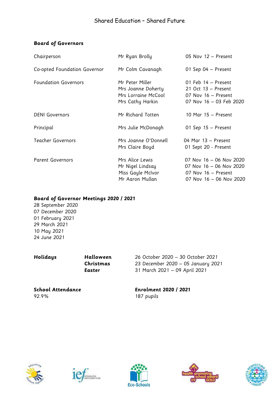#### **Board of Governors**

| Chairperson                  | Mr Ryan Brolly                                                                   | 05 Nov 12 - Present                                                                                  |
|------------------------------|----------------------------------------------------------------------------------|------------------------------------------------------------------------------------------------------|
| Co-opted Foundation Governor | Mr Colm Cavanagh                                                                 | 01 Sep 04 - Present                                                                                  |
| <b>Foundation Governors</b>  | Mr Peter Miller<br>Mrs Joanne Doherty<br>Mrs Lorraine McCool<br>Mrs Cathy Harkin | 01 Feb 14 - Present<br>21 Oct 13 - Present<br>07 Nov 16 - Present<br>07 Nov 16 - 03 Feb 2020         |
| <b>DENI</b> Governors        | Mr Richard Totten                                                                | 10 Mar 15 - Present                                                                                  |
| Principal                    | Mrs Julie McDonagh                                                               | 01 Sep $15$ – Present                                                                                |
| Teacher Governors            | Mrs Joanne O'Donnell<br>Mrs Claire Boyd                                          | 04 Mar 13 - Present<br>01 Sept 20 - Present                                                          |
| <b>Parent Governors</b>      | Mrs Alice Lewis<br>Mr Nigel Lindsay<br>Miss Gayle McIvor<br>Mr Aaron Mullan      | 07 Nov 16 - 06 Nov 2020<br>07 Nov 16 - 06 Nov 2020<br>07 Nov 16 - Present<br>07 Nov 16 - 06 Nov 2020 |

#### **Board of Governor Meetings 2020 / 2021**

 September 2020 December 2020 February 2021 29 March 2021 10 May 2021 June 2021

**Holidays Halloween** 26 October 2020 – 30 October 2021 **Christmas** 23 December 2020 – 05 January 2021 **Easter** 31 March 2021 – 09 April 2021

92.9% 187 pupils

**School Attendance Enrolment 2020 / 2021**